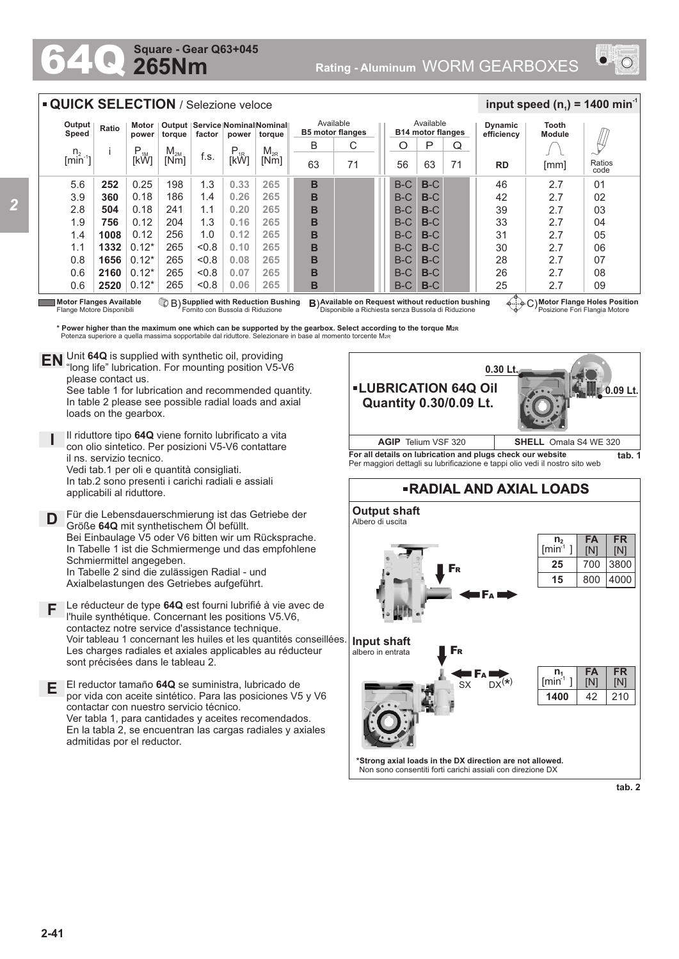## **265Nm Square - Gear Q63+045**



| <b>QUICK SELECTION / Selezione veloce</b>            |                                                                                                                                       |                   |                  |                                                                   |                  |                  |                                      |                                                                                                         |                                       |       |    | input speed $(n_1)$ = 1400 min <sup>-1</sup> |                                                                       |                |  |
|------------------------------------------------------|---------------------------------------------------------------------------------------------------------------------------------------|-------------------|------------------|-------------------------------------------------------------------|------------------|------------------|--------------------------------------|---------------------------------------------------------------------------------------------------------|---------------------------------------|-------|----|----------------------------------------------|-----------------------------------------------------------------------|----------------|--|
| Output<br>Speed                                      | Ratio                                                                                                                                 | Motor<br>power    | torque           | Output   Service   Nominal Nominal  <br>factor<br>torque<br>power |                  |                  | Available<br><b>B5 motor flanges</b> |                                                                                                         | Available<br><b>B14 motor flanges</b> |       |    | <b>Dynamic</b><br>efficiency                 | Tooth<br><b>Module</b>                                                |                |  |
| n <sub>2</sub><br>$\left[\text{min}^{\cdot} \right]$ |                                                                                                                                       | $P_{.1M}$<br>[kW] | $M_{2M}$<br>[Nm] | f.s.                                                              | $P_{1R}$<br>[kŴ] | $M_{2R}$<br>[Nm] | B                                    | С                                                                                                       | O                                     | Р     | Q  |                                              |                                                                       |                |  |
|                                                      |                                                                                                                                       |                   |                  |                                                                   |                  |                  | 63                                   | 71                                                                                                      | 56                                    | 63    | 71 | <b>RD</b>                                    | [mm]                                                                  | Ratios<br>code |  |
| 5.6                                                  | 252                                                                                                                                   | 0.25              | 198              | 1.3                                                               | 0.33             | 265              | в                                    |                                                                                                         | $B-C$                                 | $B-C$ |    | 46                                           | 2.7                                                                   | 01             |  |
| 3.9                                                  | 360                                                                                                                                   | 0.18              | 186              | 1.4                                                               | 0.26             | 265              | в                                    |                                                                                                         | $B-C$                                 | $B-C$ |    | 42                                           | 2.7                                                                   | 02             |  |
| 2.8                                                  | 504                                                                                                                                   | 0.18              | 241              | 1.1                                                               | 0.20             | 265              | B                                    |                                                                                                         | B-C                                   | $B-C$ |    | 39                                           | 2.7                                                                   | 03             |  |
| 1.9                                                  | 756                                                                                                                                   | 0.12              | 204              | 1.3                                                               | 0.16             | 265              | в                                    |                                                                                                         | $B-C$                                 | $B-C$ |    | 33                                           | 2.7                                                                   | 04             |  |
| 1.4                                                  | 1008                                                                                                                                  | 0.12              | 256              | 1.0                                                               | 0.12             | 265              | в                                    |                                                                                                         | $B-C$                                 | $B-C$ |    | 31                                           | 2.7                                                                   | 05             |  |
| 1.1                                                  | 1332                                                                                                                                  | $0.12*$           | 265              | &0.8                                                              | 0.10             | 265              | в                                    |                                                                                                         | $B-C$                                 | $B-C$ |    | 30                                           | 2.7                                                                   | 06             |  |
| 0.8                                                  | 1656                                                                                                                                  | $0.12*$           | 265              | &0.8                                                              | 0.08             | 265              | B                                    |                                                                                                         | B-C                                   | $B-C$ |    | 28                                           | 2.7                                                                   | 07             |  |
| 0.6                                                  | 2160                                                                                                                                  | $0.12*$           | 265              | &0.8                                                              | 0.07             | 265              | в                                    |                                                                                                         | $B-C$                                 | $B-C$ |    | 26                                           | 2.7                                                                   | 08             |  |
| 0.6                                                  | 2520                                                                                                                                  | $0.12*$           | 265              | &0.8                                                              | 0.06             | 265              | в                                    |                                                                                                         | $B-C$                                 | $B-C$ |    | 25                                           | 2.7                                                                   | 09             |  |
|                                                      | <b>Motor Flanges Available</b><br>B) Supplied with Reduction Bushing<br>Fornito con Bussola di Riduzione<br>Flange Motore Disponibili |                   |                  |                                                                   |                  |                  |                                      | B) Available on Request without reduction bushing<br>Disponibile a Richiesta senza Bussola di Riduzione |                                       |       |    |                                              | Motor Flange Holes Position (بَ∔َ ﴾.<br>Posizione Fori Flangia Motore |                |  |

**\* Power higher than the maximum one which can be supported by the gearbox. Select according to the torque M2R** Potenza superiore a quella massima sopportabile dal riduttore. Selezionare in base al momento torcente M2R

Unit **64Q** is supplied with synthetic oil, providing **EN** Unit 64Q is supplied with synthetic oil, providing<br>"long life" lubrication. For mounting position V5-V6 please contact us.

See table 1 for lubrication and recommended quantity. In table 2 please see possible radial loads and axial loads on the gearbox.

**I** Il riduttore tipo **64Q** viene fornito lubrificato a vita con olio sintetico. Per posizioni V5-V6 contattare il ns. servizio tecnico. Vedi tab.1 per oli e quantità consigliati. In tab.2 sono presenti i carichi radiali e assiali applicabili al riduttore.

**D** Für die Lebensdauerschmierung ist das Getriebe der<br>
Größe 640 mit synthetischem Öl befüllt Größe **64Q** mit synthetischem Öl befüllt. Bei Einbaulage V5 oder V6 bitten wir um Rücksprache. In Tabelle 1 ist die Schmiermenge und das empfohlene Schmiermittel angegeben. In Tabelle 2 sind die zulässigen Radial - und Axialbelastungen des Getriebes aufgeführt.

- **F** Le réducteur de type **64Q** est fourni lubrifié à vie avec de l'huile synthétique. Concernant les positions V5.V6, contactez notre service d'assistance technique. Voir tableau 1 concernant les huiles et les quantités conseillées. Les charges radiales et axiales applicables au réducteur sont précisées dans le tableau 2.
- **E** El reductor tamaño **64Q** se suministra, lubricado de por vida con aceite sintético. Para las posiciones V5 y V6 contactar con nuestro servicio técnico. Ver tabla 1, para cantidades y aceites recomendados. En la tabla 2, se encuentran las cargas radiales y axiales admitidas por el reductor.





**\*Strong axial loads in the DX direction are not allowed.** Non sono consentiti forti carichi assiali con direzione DX

**tab. 2**

4000

210

**FR** [N]

**FR** [N]

**FA** [N]

800

**FA** [N] 42

**1400**